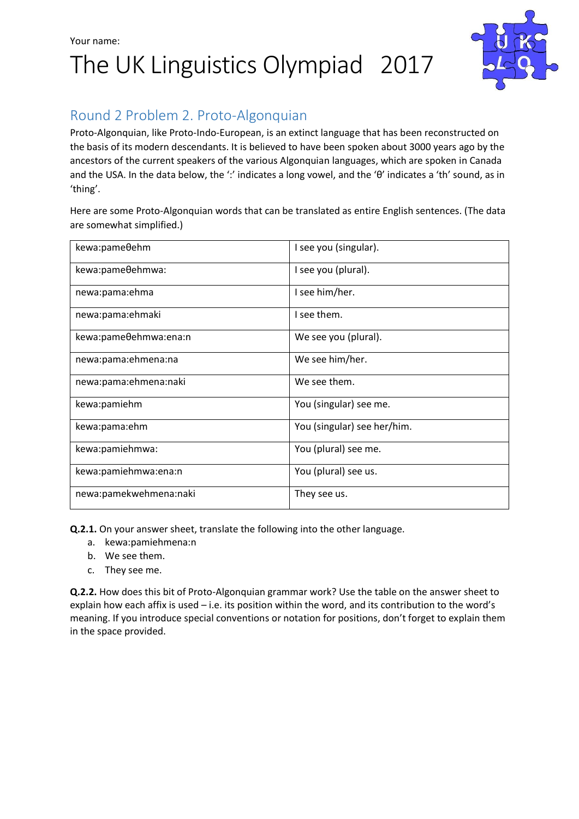## Your name: The UK Linguistics Olympiad 2017



## Round 2 Problem 2. Proto-Algonquian

Proto-Algonquian, like Proto-Indo-European, is an extinct language that has been reconstructed on the basis of its modern descendants. It is believed to have been spoken about 3000 years ago by the ancestors of the current speakers of the various Algonquian languages, which are spoken in Canada and the USA. In the data below, the ':' indicates a long vowel, and the 'θ' indicates a 'th' sound, as in 'thing'.

Here are some Proto-Algonquian words that can be translated as entire English sentences. (The data are somewhat simplified.)

| kewa:pameθehm          | I see you (singular).       |
|------------------------|-----------------------------|
| kewa:pameθehmwa:       | I see you (plural).         |
| newa:pama:ehma         | I see him/her.              |
| newa:pama:ehmaki       | I see them.                 |
| kewa:pameθehmwa:ena:n  | We see you (plural).        |
| newa:pama:ehmena:na    | We see him/her.             |
| newa:pama:ehmena:naki  | We see them.                |
| kewa:pamiehm           | You (singular) see me.      |
| kewa:pama:ehm          | You (singular) see her/him. |
| kewa:pamiehmwa:        | You (plural) see me.        |
| kewa:pamiehmwa:ena:n   | You (plural) see us.        |
| newa:pamekwehmena:naki | They see us.                |

**Q.2.1.** On your answer sheet, translate the following into the other language.

- a. kewa:pamiehmena:n
- b. We see them.
- c. They see me.

**Q.2.2.** How does this bit of Proto-Algonquian grammar work? Use the table on the answer sheet to explain how each affix is used – i.e. its position within the word, and its contribution to the word's meaning. If you introduce special conventions or notation for positions, don't forget to explain them in the space provided.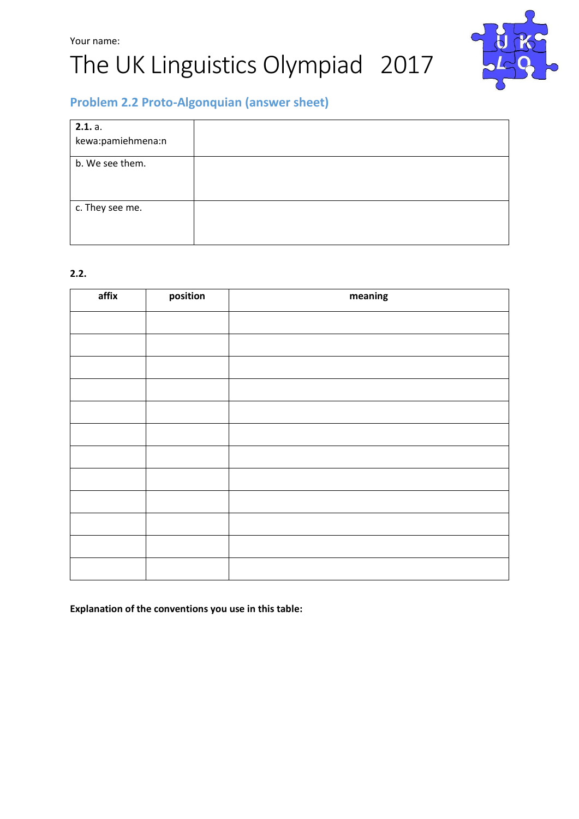# Your name: The UK Linguistics Olympiad 2017



### **Problem 2.2 Proto-Algonquian (answer sheet)**

| 2.1. a.           |  |
|-------------------|--|
| kewa:pamiehmena:n |  |
| b. We see them.   |  |
| c. They see me.   |  |

#### **2.2.**

| affix | position | meaning |
|-------|----------|---------|
|       |          |         |
|       |          |         |
|       |          |         |
|       |          |         |
|       |          |         |
|       |          |         |
|       |          |         |
|       |          |         |
|       |          |         |
|       |          |         |
|       |          |         |
|       |          |         |

**Explanation of the conventions you use in this table:**